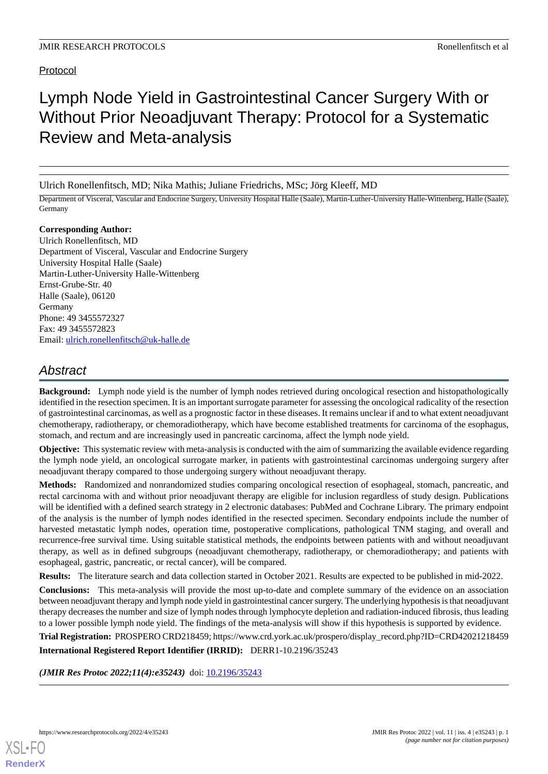## Protocol

# Lymph Node Yield in Gastrointestinal Cancer Surgery With or Without Prior Neoadjuvant Therapy: Protocol for a Systematic Review and Meta-analysis

Ulrich Ronellenfitsch, MD; Nika Mathis; Juliane Friedrichs, MSc; Jörg Kleeff, MD

Department of Visceral, Vascular and Endocrine Surgery, University Hospital Halle (Saale), Martin-Luther-University Halle-Wittenberg, Halle (Saale), Germany

#### **Corresponding Author:**

Ulrich Ronellenfitsch, MD Department of Visceral, Vascular and Endocrine Surgery University Hospital Halle (Saale) Martin-Luther-University Halle-Wittenberg Ernst-Grube-Str. 40 Halle (Saale), 06120 Germany Phone: 49 3455572327 Fax: 49 3455572823 Email: [ulrich.ronellenfitsch@uk-halle.de](mailto:ulrich.ronellenfitsch@uk-halle.de)

# *Abstract*

**Background:** Lymph node yield is the number of lymph nodes retrieved during oncological resection and histopathologically identified in the resection specimen. It is an important surrogate parameter for assessing the oncological radicality of the resection of gastrointestinal carcinomas, as well as a prognostic factor in these diseases. It remains unclear if and to what extent neoadjuvant chemotherapy, radiotherapy, or chemoradiotherapy, which have become established treatments for carcinoma of the esophagus, stomach, and rectum and are increasingly used in pancreatic carcinoma, affect the lymph node yield.

**Objective:** This systematic review with meta-analysis is conducted with the aim of summarizing the available evidence regarding the lymph node yield, an oncological surrogate marker, in patients with gastrointestinal carcinomas undergoing surgery after neoadjuvant therapy compared to those undergoing surgery without neoadjuvant therapy.

**Methods:** Randomized and nonrandomized studies comparing oncological resection of esophageal, stomach, pancreatic, and rectal carcinoma with and without prior neoadjuvant therapy are eligible for inclusion regardless of study design. Publications will be identified with a defined search strategy in 2 electronic databases: PubMed and Cochrane Library. The primary endpoint of the analysis is the number of lymph nodes identified in the resected specimen. Secondary endpoints include the number of harvested metastatic lymph nodes, operation time, postoperative complications, pathological TNM staging, and overall and recurrence-free survival time. Using suitable statistical methods, the endpoints between patients with and without neoadjuvant therapy, as well as in defined subgroups (neoadjuvant chemotherapy, radiotherapy, or chemoradiotherapy; and patients with esophageal, gastric, pancreatic, or rectal cancer), will be compared.

**Results:** The literature search and data collection started in October 2021. Results are expected to be published in mid-2022.

**Conclusions:** This meta-analysis will provide the most up-to-date and complete summary of the evidence on an association between neoadjuvant therapy and lymph node yield in gastrointestinal cancer surgery. The underlying hypothesis is that neoadjuvant therapy decreases the number and size of lymph nodes through lymphocyte depletion and radiation-induced fibrosis, thus leading to a lower possible lymph node yield. The findings of the meta-analysis will show if this hypothesis is supported by evidence.

**Trial Registration:** PROSPERO CRD218459; https://www.crd.york.ac.uk/prospero/display\_record.php?ID=CRD42021218459 **International Registered Report Identifier (IRRID):** DERR1-10.2196/35243

*(JMIR Res Protoc 2022;11(4):e35243)* doi: [10.2196/35243](http://dx.doi.org/10.2196/35243)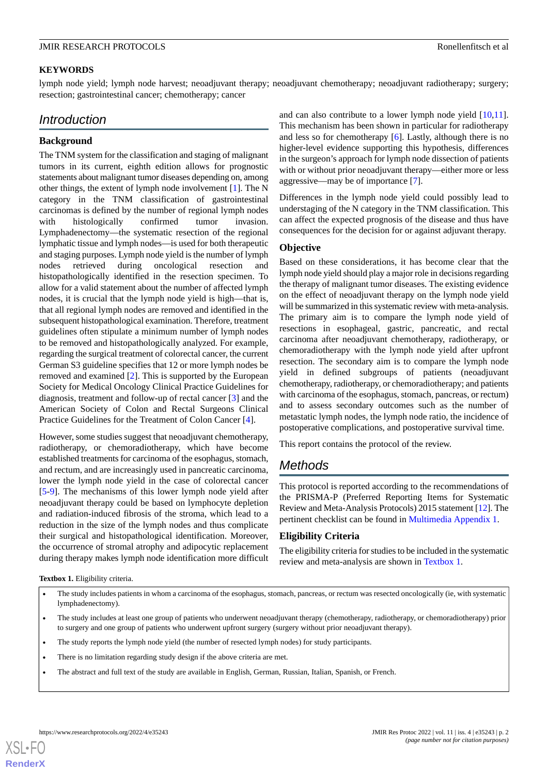#### **KEYWORDS**

lymph node yield; lymph node harvest; neoadjuvant therapy; neoadjuvant chemotherapy; neoadjuvant radiotherapy; surgery; resection; gastrointestinal cancer; chemotherapy; cancer

## *Introduction*

#### **Background**

The TNM system for the classification and staging of malignant tumors in its current, eighth edition allows for prognostic statements about malignant tumor diseases depending on, among other things, the extent of lymph node involvement [[1\]](#page-5-0). The N category in the TNM classification of gastrointestinal carcinomas is defined by the number of regional lymph nodes with histologically confirmed tumor invasion. Lymphadenectomy—the systematic resection of the regional lymphatic tissue and lymph nodes—is used for both therapeutic and staging purposes. Lymph node yield is the number of lymph nodes retrieved during oncological resection and histopathologically identified in the resection specimen. To allow for a valid statement about the number of affected lymph nodes, it is crucial that the lymph node yield is high—that is, that all regional lymph nodes are removed and identified in the subsequent histopathological examination. Therefore, treatment guidelines often stipulate a minimum number of lymph nodes to be removed and histopathologically analyzed. For example, regarding the surgical treatment of colorectal cancer, the current German S3 guideline specifies that 12 or more lymph nodes be removed and examined [\[2](#page-5-1)]. This is supported by the European Society for Medical Oncology Clinical Practice Guidelines for diagnosis, treatment and follow-up of rectal cancer [[3\]](#page-5-2) and the American Society of Colon and Rectal Surgeons Clinical Practice Guidelines for the Treatment of Colon Cancer [\[4](#page-5-3)].

However, some studies suggest that neoadjuvant chemotherapy, radiotherapy, or chemoradiotherapy, which have become established treatments for carcinoma of the esophagus, stomach, and rectum, and are increasingly used in pancreatic carcinoma, lower the lymph node yield in the case of colorectal cancer [[5](#page-5-4)[-9](#page-6-0)]. The mechanisms of this lower lymph node yield after neoadjuvant therapy could be based on lymphocyte depletion and radiation-induced fibrosis of the stroma, which lead to a reduction in the size of the lymph nodes and thus complicate their surgical and histopathological identification. Moreover, the occurrence of stromal atrophy and adipocytic replacement during therapy makes lymph node identification more difficult

and can also contribute to a lower lymph node yield [\[10](#page-6-1),[11\]](#page-6-2). This mechanism has been shown in particular for radiotherapy and less so for chemotherapy [\[6\]](#page-6-3). Lastly, although there is no higher-level evidence supporting this hypothesis, differences in the surgeon's approach for lymph node dissection of patients with or without prior neoadjuvant therapy—either more or less aggressive—may be of importance [[7\]](#page-6-4).

Differences in the lymph node yield could possibly lead to understaging of the N category in the TNM classification. This can affect the expected prognosis of the disease and thus have consequences for the decision for or against adjuvant therapy.

#### **Objective**

Based on these considerations, it has become clear that the lymph node yield should play a major role in decisions regarding the therapy of malignant tumor diseases. The existing evidence on the effect of neoadjuvant therapy on the lymph node yield will be summarized in this systematic review with meta-analysis. The primary aim is to compare the lymph node yield of resections in esophageal, gastric, pancreatic, and rectal carcinoma after neoadjuvant chemotherapy, radiotherapy, or chemoradiotherapy with the lymph node yield after upfront resection. The secondary aim is to compare the lymph node yield in defined subgroups of patients (neoadjuvant chemotherapy, radiotherapy, or chemoradiotherapy; and patients with carcinoma of the esophagus, stomach, pancreas, or rectum) and to assess secondary outcomes such as the number of metastatic lymph nodes, the lymph node ratio, the incidence of postoperative complications, and postoperative survival time.

This report contains the protocol of the review.

## *Methods*

This protocol is reported according to the recommendations of the PRISMA-P (Preferred Reporting Items for Systematic Review and Meta-Analysis Protocols) 2015 statement [[12\]](#page-6-5). The pertinent checklist can be found in [Multimedia Appendix 1](#page-5-5).

#### **Eligibility Criteria**

The eligibility criteria for studies to be included in the systematic review and meta-analysis are shown in [Textbox 1.](#page-1-0)

<span id="page-1-0"></span>**Textbox 1.** Eligibility criteria.

- The study includes patients in whom a carcinoma of the esophagus, stomach, pancreas, or rectum was resected oncologically (ie, with systematic lymphadenectomy).
- The study includes at least one group of patients who underwent neoadjuvant therapy (chemotherapy, radiotherapy, or chemoradiotherapy) prior to surgery and one group of patients who underwent upfront surgery (surgery without prior neoadjuvant therapy).
- The study reports the lymph node yield (the number of resected lymph nodes) for study participants.
- There is no limitation regarding study design if the above criteria are met.
- The abstract and full text of the study are available in English, German, Russian, Italian, Spanish, or French.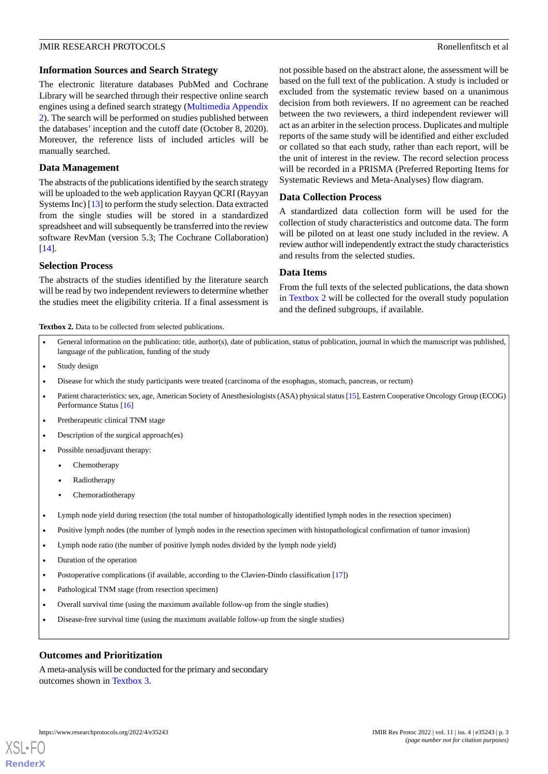#### **Information Sources and Search Strategy**

The electronic literature databases PubMed and Cochrane Library will be searched through their respective online search engines using a defined search strategy [\(Multimedia Appendix](#page-5-6) [2\)](#page-5-6). The search will be performed on studies published between the databases' inception and the cutoff date (October 8, 2020). Moreover, the reference lists of included articles will be manually searched.

#### **Data Management**

The abstracts of the publications identified by the search strategy will be uploaded to the web application Rayyan QCRI (Rayyan Systems Inc) [[13\]](#page-6-6) to perform the study selection. Data extracted from the single studies will be stored in a standardized spreadsheet and will subsequently be transferred into the review software RevMan (version 5.3; The Cochrane Collaboration) [[14\]](#page-6-7).

#### **Selection Process**

<span id="page-2-0"></span>The abstracts of the studies identified by the literature search will be read by two independent reviewers to determine whether the studies meet the eligibility criteria. If a final assessment is not possible based on the abstract alone, the assessment will be based on the full text of the publication. A study is included or excluded from the systematic review based on a unanimous decision from both reviewers. If no agreement can be reached between the two reviewers, a third independent reviewer will act as an arbiter in the selection process. Duplicates and multiple reports of the same study will be identified and either excluded or collated so that each study, rather than each report, will be the unit of interest in the review. The record selection process will be recorded in a PRISMA (Preferred Reporting Items for Systematic Reviews and Meta-Analyses) flow diagram.

#### **Data Collection Process**

A standardized data collection form will be used for the collection of study characteristics and outcome data. The form will be piloted on at least one study included in the review. A review author will independently extract the study characteristics and results from the selected studies.

#### **Data Items**

From the full texts of the selected publications, the data shown in [Textbox 2](#page-2-0) will be collected for the overall study population and the defined subgroups, if available.

Textbox 2. Data to be collected from selected publications.

- General information on the publication: title, author(s), date of publication, status of publication, journal in which the manuscript was published, language of the publication, funding of the study
- Study design
- Disease for which the study participants were treated (carcinoma of the esophagus, stomach, pancreas, or rectum)
- Patient characteristics: sex, age, American Society of Anesthesiologists (ASA) physical status [[15](#page-6-8)], Eastern Cooperative Oncology Group (ECOG) Performance Status [[16](#page-6-9)]
- Pretherapeutic clinical TNM stage
- Description of the surgical approach(es)
- Possible neoadjuvant therapy:
	- Chemotherapy
	- Radiotherapy
	- Chemoradiotherapy
- Lymph node yield during resection (the total number of histopathologically identified lymph nodes in the resection specimen)
- Positive lymph nodes (the number of lymph nodes in the resection specimen with histopathological confirmation of tumor invasion)
- Lymph node ratio (the number of positive lymph nodes divided by the lymph node yield)
- Duration of the operation
- Postoperative complications (if available, according to the Clavien-Dindo classification [\[17\]](#page-6-10))
- Pathological TNM stage (from resection specimen)
- Overall survival time (using the maximum available follow-up from the single studies)
- Disease-free survival time (using the maximum available follow-up from the single studies)

#### **Outcomes and Prioritization**

A meta-analysis will be conducted for the primary and secondary outcomes shown in [Textbox 3.](#page-3-0)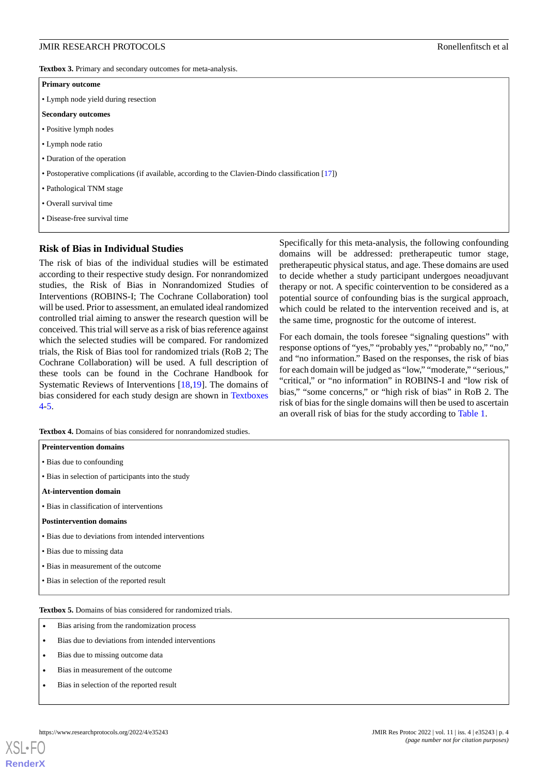<span id="page-3-0"></span>**Textbox 3.** Primary and secondary outcomes for meta-analysis.

#### **Primary outcome**

• Lymph node yield during resection

#### **Secondary outcomes**

- Positive lymph nodes
- Lymph node ratio
- Duration of the operation
- Postoperative complications (if available, according to the Clavien-Dindo classification [\[17\]](#page-6-10))
- Pathological TNM stage
- Overall survival time
- Disease-free survival time

#### **Risk of Bias in Individual Studies**

The risk of bias of the individual studies will be estimated according to their respective study design. For nonrandomized studies, the Risk of Bias in Nonrandomized Studies of Interventions (ROBINS-I; The Cochrane Collaboration) tool will be used. Prior to assessment, an emulated ideal randomized controlled trial aiming to answer the research question will be conceived. This trial will serve as a risk of bias reference against which the selected studies will be compared. For randomized trials, the Risk of Bias tool for randomized trials (RoB 2; The Cochrane Collaboration) will be used. A full description of these tools can be found in the Cochrane Handbook for Systematic Reviews of Interventions [[18,](#page-6-11)[19](#page-6-12)]. The domains of bias considered for each study design are shown in [Textboxes](#page-3-1) [4-](#page-3-1)[5.](#page-3-2)

<span id="page-3-1"></span>**Textbox 4.** Domains of bias considered for nonrandomized studies.

| <b>Preintervention domains</b>                       |  |  |  |
|------------------------------------------------------|--|--|--|
| • Bias due to confounding                            |  |  |  |
| • Bias in selection of participants into the study   |  |  |  |
| <b>At-intervention domain</b>                        |  |  |  |
| • Bias in classification of interventions            |  |  |  |
| <b>Postintervention domains</b>                      |  |  |  |
| • Bias due to deviations from intended interventions |  |  |  |
| • Bias due to missing data                           |  |  |  |
| • Bias in measurement of the outcome                 |  |  |  |
| • Bias in selection of the reported result           |  |  |  |
|                                                      |  |  |  |

<span id="page-3-2"></span>**Textbox 5.** Domains of bias considered for randomized trials.

- Bias arising from the randomization process
- Bias due to deviations from intended interventions
- Bias due to missing outcome data
- Bias in measurement of the outcome
- Bias in selection of the reported result

[XSL](http://www.w3.org/Style/XSL)•FO **[RenderX](http://www.renderx.com/)**

Specifically for this meta-analysis, the following confounding domains will be addressed: pretherapeutic tumor stage, pretherapeutic physical status, and age. These domains are used to decide whether a study participant undergoes neoadjuvant therapy or not. A specific cointervention to be considered as a potential source of confounding bias is the surgical approach, which could be related to the intervention received and is, at the same time, prognostic for the outcome of interest.

For each domain, the tools foresee "signaling questions" with response options of "yes," "probably yes," "probably no," "no," and "no information." Based on the responses, the risk of bias for each domain will be judged as "low," "moderate," "serious," "critical," or "no information" in ROBINS-I and "low risk of bias," "some concerns," or "high risk of bias" in RoB 2. The risk of bias for the single domains will then be used to ascertain an overall risk of bias for the study according to [Table 1](#page-4-0).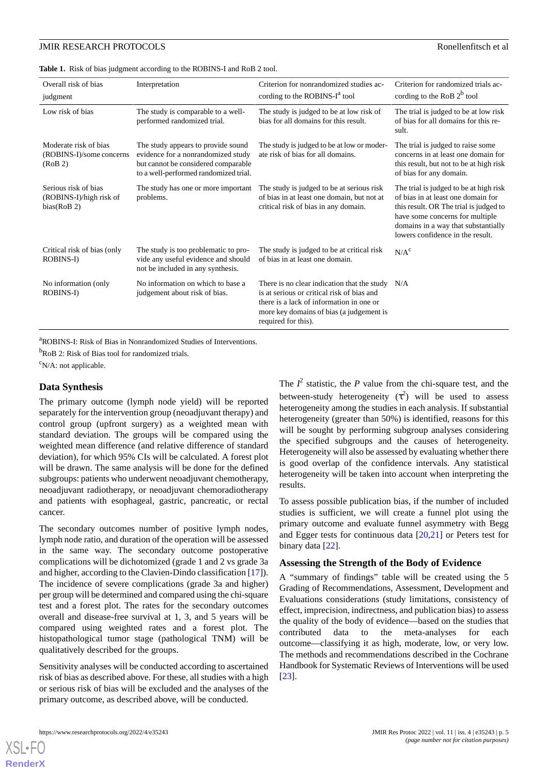#### JMIR RESEARCH PROTOCOLS Ronellenfitsch et al

<span id="page-4-0"></span>

| Overall risk of bias<br>judgment                               | Interpretation                                                                                                                                           | Criterion for nonrandomized studies ac-<br>cording to the ROBINS- $I^a$ tool                                                                                                                                   | Criterion for randomized trials ac-<br>cording to the RoB $2^b$ tool                                                                                                                                                                 |
|----------------------------------------------------------------|----------------------------------------------------------------------------------------------------------------------------------------------------------|----------------------------------------------------------------------------------------------------------------------------------------------------------------------------------------------------------------|--------------------------------------------------------------------------------------------------------------------------------------------------------------------------------------------------------------------------------------|
| Low risk of bias                                               | The study is comparable to a well-<br>performed randomized trial.                                                                                        | The study is judged to be at low risk of<br>bias for all domains for this result.                                                                                                                              | The trial is judged to be at low risk<br>of bias for all domains for this re-<br>sult.                                                                                                                                               |
| Moderate risk of bias<br>(ROBINS-I)/some concerns<br>(RoB 2)   | The study appears to provide sound<br>evidence for a nonrandomized study<br>but cannot be considered comparable<br>to a well-performed randomized trial. | The study is judged to be at low or moder-<br>ate risk of bias for all domains.                                                                                                                                | The trial is judged to raise some<br>concerns in at least one domain for<br>this result, but not to be at high risk<br>of bias for any domain.                                                                                       |
| Serious risk of bias<br>(ROBINS-I)/high risk of<br>bias(RoB 2) | The study has one or more important<br>problems.                                                                                                         | The study is judged to be at serious risk<br>of bias in at least one domain, but not at<br>critical risk of bias in any domain.                                                                                | The trial is judged to be at high risk<br>of bias in at least one domain for<br>this result. OR The trial is judged to<br>have some concerns for multiple<br>domains in a way that substantially<br>lowers confidence in the result. |
| Critical risk of bias (only<br>ROBINS-I)                       | The study is too problematic to pro-<br>vide any useful evidence and should<br>not be included in any synthesis.                                         | The study is judged to be at critical risk<br>of bias in at least one domain.                                                                                                                                  | N/A <sup>c</sup>                                                                                                                                                                                                                     |
| No information (only<br>ROBINS-I)                              | No information on which to base a<br>judgement about risk of bias.                                                                                       | There is no clear indication that the study $N/A$<br>is at serious or critical risk of bias and<br>there is a lack of information in one or<br>more key domains of bias (a judgement is<br>required for this). |                                                                                                                                                                                                                                      |

<sup>a</sup>ROBINS-I: Risk of Bias in Nonrandomized Studies of Interventions.

<sup>b</sup>RoB 2: Risk of Bias tool for randomized trials.

 $\rm^c$ N/A: not applicable.

#### **Data Synthesis**

The primary outcome (lymph node yield) will be reported separately for the intervention group (neoadjuvant therapy) and control group (upfront surgery) as a weighted mean with standard deviation. The groups will be compared using the weighted mean difference (and relative difference of standard deviation), for which 95% CIs will be calculated. A forest plot will be drawn. The same analysis will be done for the defined subgroups: patients who underwent neoadjuvant chemotherapy, neoadjuvant radiotherapy, or neoadjuvant chemoradiotherapy and patients with esophageal, gastric, pancreatic, or rectal cancer.

The secondary outcomes number of positive lymph nodes, lymph node ratio, and duration of the operation will be assessed in the same way. The secondary outcome postoperative complications will be dichotomized (grade 1 and 2 vs grade 3a and higher, according to the Clavien-Dindo classification [\[17](#page-6-10)]). The incidence of severe complications (grade 3a and higher) per group will be determined and compared using the chi-square test and a forest plot. The rates for the secondary outcomes overall and disease-free survival at 1, 3, and 5 years will be compared using weighted rates and a forest plot. The histopathological tumor stage (pathological TNM) will be qualitatively described for the groups.

Sensitivity analyses will be conducted according to ascertained risk of bias as described above. For these, all studies with a high or serious risk of bias will be excluded and the analyses of the primary outcome, as described above, will be conducted.

The  $I^2$  statistic, the *P* value from the chi-square test, and the between-study heterogeneity  $(\tau^2)$  will be used to assess heterogeneity among the studies in each analysis. If substantial heterogeneity (greater than 50%) is identified, reasons for this will be sought by performing subgroup analyses considering the specified subgroups and the causes of heterogeneity. Heterogeneity will also be assessed by evaluating whether there is good overlap of the confidence intervals. Any statistical heterogeneity will be taken into account when interpreting the results.

To assess possible publication bias, if the number of included studies is sufficient, we will create a funnel plot using the primary outcome and evaluate funnel asymmetry with Begg and Egger tests for continuous data  $[20,21]$  $[20,21]$  $[20,21]$  or Peters test for binary data [\[22](#page-6-15)].

#### **Assessing the Strength of the Body of Evidence**

A "summary of findings" table will be created using the 5 Grading of Recommendations, Assessment, Development and Evaluations considerations (study limitations, consistency of effect, imprecision, indirectness, and publication bias) to assess the quality of the body of evidence—based on the studies that contributed data to the meta-analyses for each outcome—classifying it as high, moderate, low, or very low. The methods and recommendations described in the Cochrane Handbook for Systematic Reviews of Interventions will be used [[23\]](#page-6-16).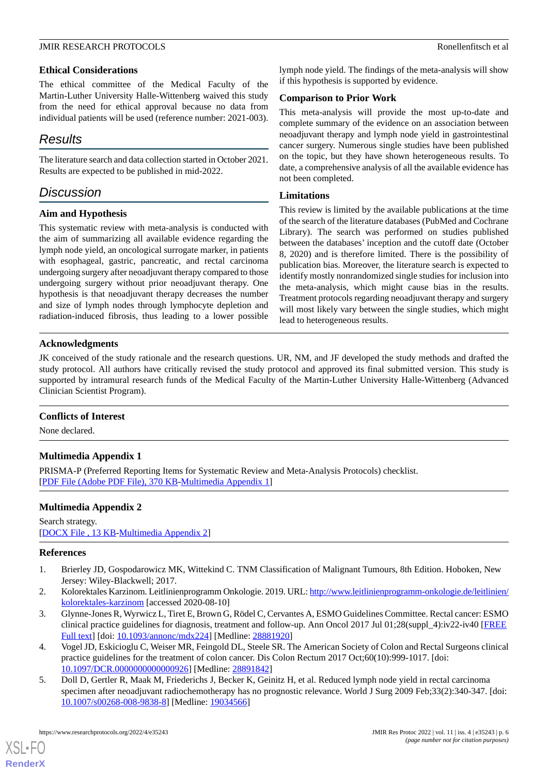#### **Ethical Considerations**

The ethical committee of the Medical Faculty of the Martin-Luther University Halle-Wittenberg waived this study from the need for ethical approval because no data from individual patients will be used (reference number: 2021-003).

# *Results*

The literature search and data collection started in October 2021. Results are expected to be published in mid-2022.

# *Discussion*

## **Aim and Hypothesis**

This systematic review with meta-analysis is conducted with the aim of summarizing all available evidence regarding the lymph node yield, an oncological surrogate marker, in patients with esophageal, gastric, pancreatic, and rectal carcinoma undergoing surgery after neoadjuvant therapy compared to those undergoing surgery without prior neoadjuvant therapy. One hypothesis is that neoadjuvant therapy decreases the number and size of lymph nodes through lymphocyte depletion and radiation-induced fibrosis, thus leading to a lower possible lymph node yield. The findings of the meta-analysis will show if this hypothesis is supported by evidence.

#### **Comparison to Prior Work**

This meta-analysis will provide the most up-to-date and complete summary of the evidence on an association between neoadjuvant therapy and lymph node yield in gastrointestinal cancer surgery. Numerous single studies have been published on the topic, but they have shown heterogeneous results. To date, a comprehensive analysis of all the available evidence has not been completed.

#### **Limitations**

This review is limited by the available publications at the time of the search of the literature databases (PubMed and Cochrane Library). The search was performed on studies published between the databases' inception and the cutoff date (October 8, 2020) and is therefore limited. There is the possibility of publication bias. Moreover, the literature search is expected to identify mostly nonrandomized single studies for inclusion into the meta-analysis, which might cause bias in the results. Treatment protocols regarding neoadjuvant therapy and surgery will most likely vary between the single studies, which might lead to heterogeneous results.

## **Acknowledgments**

JK conceived of the study rationale and the research questions. UR, NM, and JF developed the study methods and drafted the study protocol. All authors have critically revised the study protocol and approved its final submitted version. This study is supported by intramural research funds of the Medical Faculty of the Martin-Luther University Halle-Wittenberg (Advanced Clinician Scientist Program).

## <span id="page-5-5"></span>**Conflicts of Interest**

None declared.

## <span id="page-5-6"></span>**Multimedia Appendix 1**

PRISMA-P (Preferred Reporting Items for Systematic Review and Meta-Analysis Protocols) checklist. [[PDF File \(Adobe PDF File\), 370 KB](https://jmir.org/api/download?alt_name=resprot_v11i4e35243_app1.pdf&filename=57235559ac3cf4417b3dc4d8ffb0da89.pdf)-[Multimedia Appendix 1\]](https://jmir.org/api/download?alt_name=resprot_v11i4e35243_app1.pdf&filename=57235559ac3cf4417b3dc4d8ffb0da89.pdf)

## <span id="page-5-0"></span>**Multimedia Appendix 2**

<span id="page-5-1"></span>Search strategy. [[DOCX File , 13 KB](https://jmir.org/api/download?alt_name=resprot_v11i4e35243_app2.docx&filename=8603d9e6142d30ef2125bb54ef5a2ff5.docx)-[Multimedia Appendix 2\]](https://jmir.org/api/download?alt_name=resprot_v11i4e35243_app2.docx&filename=8603d9e6142d30ef2125bb54ef5a2ff5.docx)

## <span id="page-5-2"></span>**References**

- 1. Brierley JD, Gospodarowicz MK, Wittekind C. TNM Classification of Malignant Tumours, 8th Edition. Hoboken, New Jersey: Wiley-Blackwell; 2017.
- <span id="page-5-3"></span>2. Kolorektales Karzinom. Leitlinienprogramm Onkologie. 2019. URL: [http://www.leitlinienprogramm-onkologie.de/leitlinien/](http://www.leitlinienprogramm-onkologie.de/leitlinien/kolorektales-karzinom) [kolorektales-karzinom](http://www.leitlinienprogramm-onkologie.de/leitlinien/kolorektales-karzinom) [accessed 2020-08-10]
- <span id="page-5-4"></span>3. Glynne-Jones R, Wyrwicz L, Tiret E, Brown G, Rödel C, Cervantes A, ESMO Guidelines Committee. Rectal cancer: ESMO clinical practice guidelines for diagnosis, treatment and follow-up. Ann Oncol 2017 Jul 01;28(suppl\_4):iv22-iv40 [[FREE](https://linkinghub.elsevier.com/retrieve/pii/3958158) [Full text\]](https://linkinghub.elsevier.com/retrieve/pii/3958158) [doi: [10.1093/annonc/mdx224\]](http://dx.doi.org/10.1093/annonc/mdx224) [Medline: [28881920\]](http://www.ncbi.nlm.nih.gov/entrez/query.fcgi?cmd=Retrieve&db=PubMed&list_uids=28881920&dopt=Abstract)
- 4. Vogel JD, Eskicioglu C, Weiser MR, Feingold DL, Steele SR. The American Society of Colon and Rectal Surgeons clinical practice guidelines for the treatment of colon cancer. Dis Colon Rectum 2017 Oct;60(10):999-1017. [doi: [10.1097/DCR.0000000000000926\]](http://dx.doi.org/10.1097/DCR.0000000000000926) [Medline: [28891842\]](http://www.ncbi.nlm.nih.gov/entrez/query.fcgi?cmd=Retrieve&db=PubMed&list_uids=28891842&dopt=Abstract)
- 5. Doll D, Gertler R, Maak M, Friederichs J, Becker K, Geinitz H, et al. Reduced lymph node yield in rectal carcinoma specimen after neoadjuvant radiochemotherapy has no prognostic relevance. World J Surg 2009 Feb;33(2):340-347. [doi: [10.1007/s00268-008-9838-8\]](http://dx.doi.org/10.1007/s00268-008-9838-8) [Medline: [19034566](http://www.ncbi.nlm.nih.gov/entrez/query.fcgi?cmd=Retrieve&db=PubMed&list_uids=19034566&dopt=Abstract)]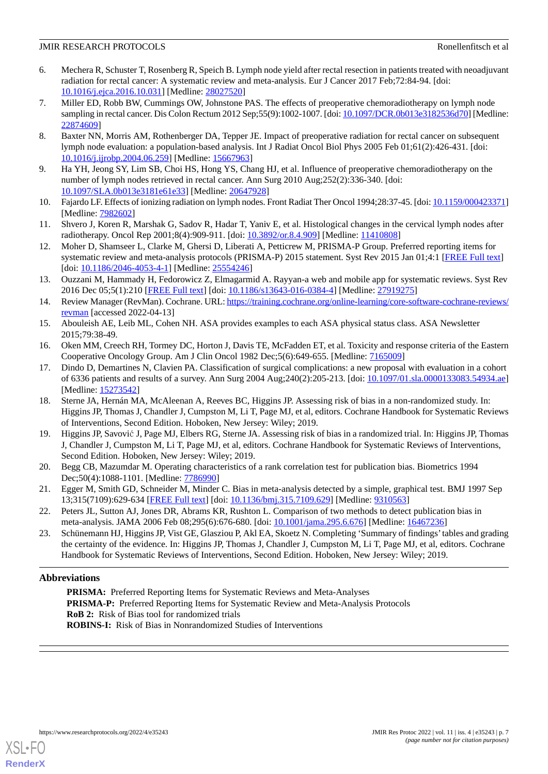- <span id="page-6-3"></span>6. Mechera R, Schuster T, Rosenberg R, Speich B. Lymph node yield after rectal resection in patients treated with neoadjuvant radiation for rectal cancer: A systematic review and meta-analysis. Eur J Cancer 2017 Feb;72:84-94. [doi: [10.1016/j.ejca.2016.10.031\]](http://dx.doi.org/10.1016/j.ejca.2016.10.031) [Medline: [28027520\]](http://www.ncbi.nlm.nih.gov/entrez/query.fcgi?cmd=Retrieve&db=PubMed&list_uids=28027520&dopt=Abstract)
- <span id="page-6-4"></span>7. Miller ED, Robb BW, Cummings OW, Johnstone PAS. The effects of preoperative chemoradiotherapy on lymph node sampling in rectal cancer. Dis Colon Rectum 2012 Sep;55(9):1002-1007. [doi: [10.1097/DCR.0b013e3182536d70\]](http://dx.doi.org/10.1097/DCR.0b013e3182536d70) [Medline: [22874609](http://www.ncbi.nlm.nih.gov/entrez/query.fcgi?cmd=Retrieve&db=PubMed&list_uids=22874609&dopt=Abstract)]
- <span id="page-6-0"></span>8. Baxter NN, Morris AM, Rothenberger DA, Tepper JE. Impact of preoperative radiation for rectal cancer on subsequent lymph node evaluation: a population-based analysis. Int J Radiat Oncol Biol Phys 2005 Feb 01;61(2):426-431. [doi: [10.1016/j.ijrobp.2004.06.259\]](http://dx.doi.org/10.1016/j.ijrobp.2004.06.259) [Medline: [15667963](http://www.ncbi.nlm.nih.gov/entrez/query.fcgi?cmd=Retrieve&db=PubMed&list_uids=15667963&dopt=Abstract)]
- <span id="page-6-1"></span>9. Ha YH, Jeong SY, Lim SB, Choi HS, Hong YS, Chang HJ, et al. Influence of preoperative chemoradiotherapy on the number of lymph nodes retrieved in rectal cancer. Ann Surg 2010 Aug;252(2):336-340. [doi: [10.1097/SLA.0b013e3181e61e33\]](http://dx.doi.org/10.1097/SLA.0b013e3181e61e33) [Medline: [20647928](http://www.ncbi.nlm.nih.gov/entrez/query.fcgi?cmd=Retrieve&db=PubMed&list_uids=20647928&dopt=Abstract)]
- <span id="page-6-2"></span>10. Fajardo LF. Effects of ionizing radiation on lymph nodes. Front Radiat Ther Oncol 1994;28:37-45. [doi: [10.1159/000423371\]](http://dx.doi.org/10.1159/000423371) [Medline: **7982602**]
- <span id="page-6-5"></span>11. Shvero J, Koren R, Marshak G, Sadov R, Hadar T, Yaniv E, et al. Histological changes in the cervical lymph nodes after radiotherapy. Oncol Rep 2001;8(4):909-911. [doi: [10.3892/or.8.4.909](http://dx.doi.org/10.3892/or.8.4.909)] [Medline: [11410808](http://www.ncbi.nlm.nih.gov/entrez/query.fcgi?cmd=Retrieve&db=PubMed&list_uids=11410808&dopt=Abstract)]
- <span id="page-6-6"></span>12. Moher D, Shamseer L, Clarke M, Ghersi D, Liberati A, Petticrew M, PRISMA-P Group. Preferred reporting items for systematic review and meta-analysis protocols (PRISMA-P) 2015 statement. Syst Rev 2015 Jan 01;4:1 [[FREE Full text\]](https://systematicreviewsjournal.biomedcentral.com/articles/10.1186/2046-4053-4-1) [doi: [10.1186/2046-4053-4-1](http://dx.doi.org/10.1186/2046-4053-4-1)] [Medline: [25554246\]](http://www.ncbi.nlm.nih.gov/entrez/query.fcgi?cmd=Retrieve&db=PubMed&list_uids=25554246&dopt=Abstract)
- <span id="page-6-7"></span>13. Ouzzani M, Hammady H, Fedorowicz Z, Elmagarmid A. Rayyan-a web and mobile app for systematic reviews. Syst Rev 2016 Dec 05;5(1):210 [[FREE Full text](https://systematicreviewsjournal.biomedcentral.com/articles/10.1186/s13643-016-0384-4)] [doi: [10.1186/s13643-016-0384-4](http://dx.doi.org/10.1186/s13643-016-0384-4)] [Medline: [27919275](http://www.ncbi.nlm.nih.gov/entrez/query.fcgi?cmd=Retrieve&db=PubMed&list_uids=27919275&dopt=Abstract)]
- <span id="page-6-9"></span><span id="page-6-8"></span>14. Review Manager (RevMan). Cochrane. URL: [https://training.cochrane.org/online-learning/core-software-cochrane-reviews/](https://training.cochrane.org/online-learning/core-software-cochrane-reviews/revman) [revman](https://training.cochrane.org/online-learning/core-software-cochrane-reviews/revman) [accessed 2022-04-13]
- <span id="page-6-10"></span>15. Abouleish AE, Leib ML, Cohen NH. ASA provides examples to each ASA physical status class. ASA Newsletter 2015;79:38-49.
- 16. Oken MM, Creech RH, Tormey DC, Horton J, Davis TE, McFadden ET, et al. Toxicity and response criteria of the Eastern Cooperative Oncology Group. Am J Clin Oncol 1982 Dec;5(6):649-655. [Medline: [7165009\]](http://www.ncbi.nlm.nih.gov/entrez/query.fcgi?cmd=Retrieve&db=PubMed&list_uids=7165009&dopt=Abstract)
- <span id="page-6-11"></span>17. Dindo D, Demartines N, Clavien PA. Classification of surgical complications: a new proposal with evaluation in a cohort of 6336 patients and results of a survey. Ann Surg 2004 Aug;240(2):205-213. [doi: [10.1097/01.sla.0000133083.54934.ae](http://dx.doi.org/10.1097/01.sla.0000133083.54934.ae)] [Medline: [15273542](http://www.ncbi.nlm.nih.gov/entrez/query.fcgi?cmd=Retrieve&db=PubMed&list_uids=15273542&dopt=Abstract)]
- <span id="page-6-12"></span>18. Sterne JA, Hernán MA, McAleenan A, Reeves BC, Higgins JP. Assessing risk of bias in a non-randomized study. In: Higgins JP, Thomas J, Chandler J, Cumpston M, Li T, Page MJ, et al, editors. Cochrane Handbook for Systematic Reviews of Interventions, Second Edition. Hoboken, New Jersey: Wiley; 2019.
- <span id="page-6-14"></span><span id="page-6-13"></span>19. Higgins JP, Savović J, Page MJ, Elbers RG, Sterne JA. Assessing risk of bias in a randomized trial. In: Higgins JP, Thomas J, Chandler J, Cumpston M, Li T, Page MJ, et al, editors. Cochrane Handbook for Systematic Reviews of Interventions, Second Edition. Hoboken, New Jersey: Wiley; 2019.
- <span id="page-6-15"></span>20. Begg CB, Mazumdar M. Operating characteristics of a rank correlation test for publication bias. Biometrics 1994 Dec; 50(4): 1088-1101. [Medline: [7786990](http://www.ncbi.nlm.nih.gov/entrez/query.fcgi?cmd=Retrieve&db=PubMed&list_uids=7786990&dopt=Abstract)]
- <span id="page-6-16"></span>21. Egger M, Smith GD, Schneider M, Minder C. Bias in meta-analysis detected by a simple, graphical test. BMJ 1997 Sep 13;315(7109):629-634 [[FREE Full text](http://europepmc.org/abstract/MED/9310563)] [doi: [10.1136/bmj.315.7109.629\]](http://dx.doi.org/10.1136/bmj.315.7109.629) [Medline: [9310563\]](http://www.ncbi.nlm.nih.gov/entrez/query.fcgi?cmd=Retrieve&db=PubMed&list_uids=9310563&dopt=Abstract)
- 22. Peters JL, Sutton AJ, Jones DR, Abrams KR, Rushton L. Comparison of two methods to detect publication bias in meta-analysis. JAMA 2006 Feb 08;295(6):676-680. [doi: [10.1001/jama.295.6.676\]](http://dx.doi.org/10.1001/jama.295.6.676) [Medline: [16467236\]](http://www.ncbi.nlm.nih.gov/entrez/query.fcgi?cmd=Retrieve&db=PubMed&list_uids=16467236&dopt=Abstract)
- 23. Schünemann HJ, Higgins JP, Vist GE, Glasziou P, Akl EA, Skoetz N. Completing 'Summary of findings'tables and grading the certainty of the evidence. In: Higgins JP, Thomas J, Chandler J, Cumpston M, Li T, Page MJ, et al, editors. Cochrane Handbook for Systematic Reviews of Interventions, Second Edition. Hoboken, New Jersey: Wiley; 2019.

## **Abbreviations**

PRISMA: Preferred Reporting Items for Systematic Reviews and Meta-Analyses **PRISMA-P:** Preferred Reporting Items for Systematic Review and Meta-Analysis Protocols **RoB 2:** Risk of Bias tool for randomized trials **ROBINS-I:** Risk of Bias in Nonrandomized Studies of Interventions